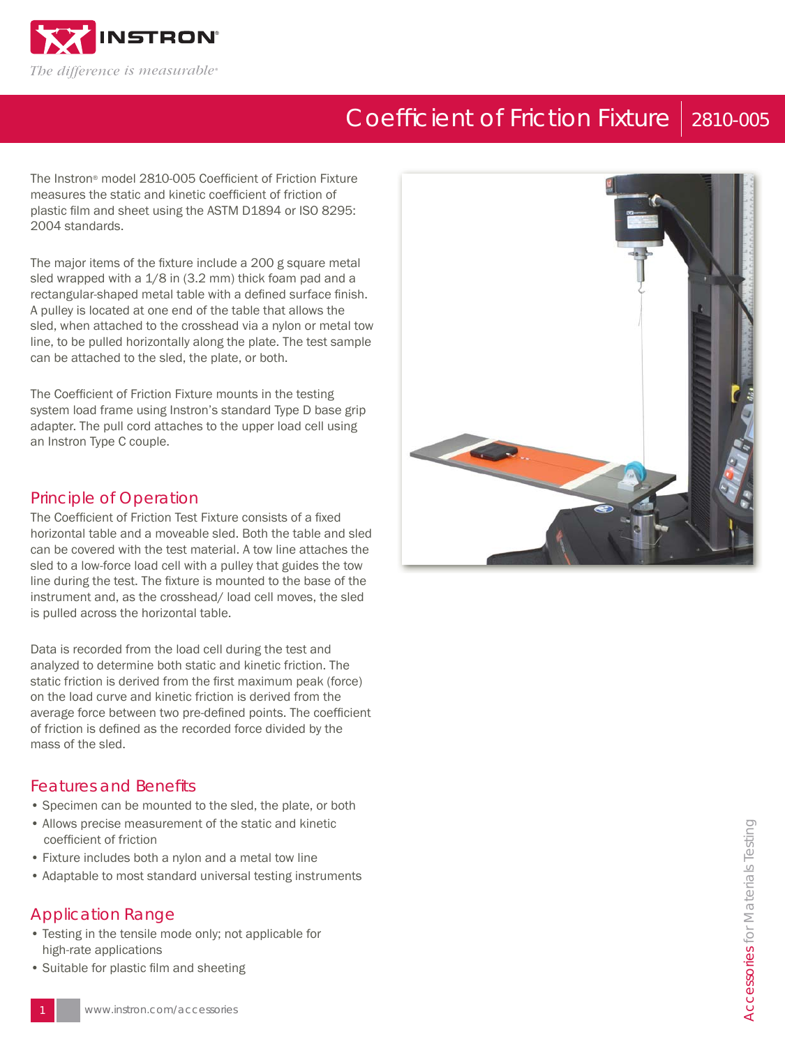

# Coefficient of Friction Fixture | 2810-005

The Instron® model 2810-005 Coefficient of Friction Fixture measures the static and kinetic coefficient of friction of plastic film and sheet using the ASTM D1894 or ISO 8295: 2004 standards.

The major items of the fixture include a 200 g square metal sled wrapped with a 1/8 in (3.2 mm) thick foam pad and a rectangular-shaped metal table with a defined surface finish. A pulley is located at one end of the table that allows the sled, when attached to the crosshead via a nylon or metal tow line, to be pulled horizontally along the plate. The test sample can be attached to the sled, the plate, or both.

The Coefficient of Friction Fixture mounts in the testing system load frame using Instron's standard Type D base grip adapter. The pull cord attaches to the upper load cell using an Instron Type C couple.

### Principle of Operation

The Coefficient of Friction Test Fixture consists of a fixed horizontal table and a moveable sled. Both the table and sled can be covered with the test material. A tow line attaches the sled to a low-force load cell with a pulley that guides the tow line during the test. The fixture is mounted to the base of the instrument and, as the crosshead/ load cell moves, the sled is pulled across the horizontal table.

Data is recorded from the load cell during the test and analyzed to determine both static and kinetic friction. The static friction is derived from the first maximum peak (force) on the load curve and kinetic friction is derived from the average force between two pre-defined points. The coefficient of friction is defined as the recorded force divided by the mass of the sled.

### **Features and Benefits**

- Specimen can be mounted to the sled, the plate, or both
- Allows precise measurement of the static and kinetic coefficient of friction
- Fixture includes both a nylon and a metal tow line
- Adaptable to most standard universal testing instruments

### Application Range

- Testing in the tensile mode only; not applicable for high-rate applications
- Suitable for plastic film and sheeting